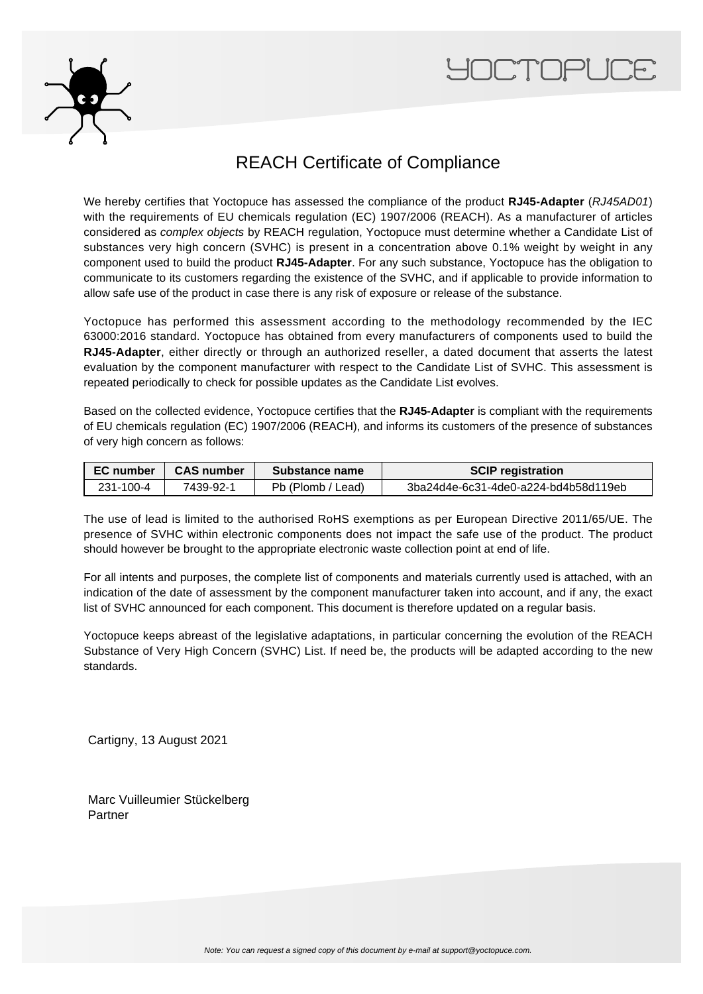



## REACH Certificate of Compliance

We hereby certifies that Yoctopuce has assessed the compliance of the product **RJ45-Adapter** (RJ45AD01) with the requirements of EU chemicals regulation (EC) 1907/2006 (REACH). As a manufacturer of articles considered as complex objects by REACH regulation, Yoctopuce must determine whether a Candidate List of substances very high concern (SVHC) is present in a concentration above 0.1% weight by weight in any component used to build the product **RJ45-Adapter**. For any such substance, Yoctopuce has the obligation to communicate to its customers regarding the existence of the SVHC, and if applicable to provide information to allow safe use of the product in case there is any risk of exposure or release of the substance.

Yoctopuce has performed this assessment according to the methodology recommended by the IEC 63000:2016 standard. Yoctopuce has obtained from every manufacturers of components used to build the **RJ45-Adapter**, either directly or through an authorized reseller, a dated document that asserts the latest evaluation by the component manufacturer with respect to the Candidate List of SVHC. This assessment is repeated periodically to check for possible updates as the Candidate List evolves.

Based on the collected evidence, Yoctopuce certifies that the **RJ45-Adapter** is compliant with the requirements of EU chemicals regulation (EC) 1907/2006 (REACH), and informs its customers of the presence of substances of very high concern as follows:

| EC number | <b>CAS number</b> | Substance name    | <b>SCIP registration</b>             |  |
|-----------|-------------------|-------------------|--------------------------------------|--|
| 231-100-4 | 7439-92-1         | Pb (Plomb / Lead) | 3ba24d4e-6c31-4de0-a224-bd4b58d119eb |  |

The use of lead is limited to the authorised RoHS exemptions as per European Directive 2011/65/UE. The presence of SVHC within electronic components does not impact the safe use of the product. The product should however be brought to the appropriate electronic waste collection point at end of life.

For all intents and purposes, the complete list of components and materials currently used is attached, with an indication of the date of assessment by the component manufacturer taken into account, and if any, the exact list of SVHC announced for each component. This document is therefore updated on a regular basis.

Yoctopuce keeps abreast of the legislative adaptations, in particular concerning the evolution of the REACH Substance of Very High Concern (SVHC) List. If need be, the products will be adapted according to the new standards.

Cartigny, 13 August 2021

Marc Vuilleumier Stückelberg Partner